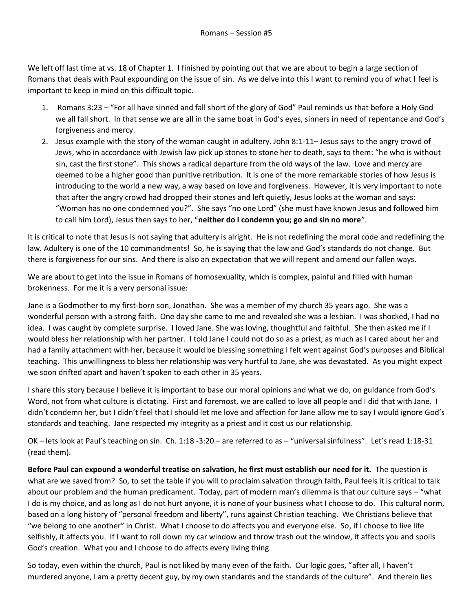We left off last time at vs. 18 of Chapter 1. I finished by pointing out that we are about to begin a large section of Romans that deals with Paul expounding on the issue of sin. As we delve into this I want to remind you of what I feel is important to keep in mind on this difficult topic.

- 1. Romans 3:23 "For all have sinned and fall short of the glory of God" Paul reminds us that before a Holy God we all fall short. In that sense we are all in the same boat in God's eyes, sinners in need of repentance and God's forgiveness and mercy.
- 2. Jesus example with the story of the woman caught in adultery. John 8:1-11– Jesus says to the angry crowd of Jews, who in accordance with Jewish law pick up stones to stone her to death, says to them: "he who is without sin, cast the first stone". This shows a radical departure from the old ways of the law. Love and mercy are deemed to be a higher good than punitive retribution. It is one of the more remarkable stories of how Jesus is introducing to the world a new way, a way based on love and forgiveness. However, it is very important to note that after the angry crowd had dropped their stones and left quietly, Jesus looks at the woman and says: "Woman has no one condemned you?". She says "no one Lord" (she must have known Jesus and followed him to call him Lord), Jesus then says to her, "**neither do I condemn you; go and sin no more**".

It is critical to note that Jesus is not saying that adultery is alright. He is not redefining the moral code and redefining the law. Adultery is one of the 10 commandments! So, he is saying that the law and God's standards do not change. But there is forgiveness for our sins. And there is also an expectation that we will repent and amend our fallen ways.

We are about to get into the issue in Romans of homosexuality, which is complex, painful and filled with human brokenness. For me it is a very personal issue:

Jane is a Godmother to my first-born son, Jonathan. She was a member of my church 35 years ago. She was a wonderful person with a strong faith. One day she came to me and revealed she was a lesbian. I was shocked, I had no idea. I was caught by complete surprise. I loved Jane. She was loving, thoughtful and faithful. She then asked me if I would bless her relationship with her partner. I told Jane I could not do so as a priest, as much as I cared about her and had a family attachment with her, because it would be blessing something I felt went against God's purposes and Biblical teaching. This unwillingness to bless her relationship was very hurtful to Jane, she was devastated. As you might expect we soon drifted apart and haven't spoken to each other in 35 years.

I share this story because I believe it is important to base our moral opinions and what we do, on guidance from God's Word, not from what culture is dictating. First and foremost, we are called to love all people and I did that with Jane. I didn't condemn her, but I didn't feel that I should let me love and affection for Jane allow me to say I would ignore God's standards and teaching. Jane respected my integrity as a priest and it cost us our relationship.

OK – lets look at Paul's teaching on sin. Ch. 1:18 -3:20 – are referred to as – "universal sinfulness". Let's read 1:18-31 (read them).

**Before Paul can expound a wonderful treatise on salvation, he first must establish our need for it.** The question is what are we saved from? So, to set the table if you will to proclaim salvation through faith, Paul feels it is critical to talk about our problem and the human predicament. Today, part of modern man's dilemma is that our culture says – "what I do is my choice, and as long as I do not hurt anyone, it is none of your business what I choose to do. This cultural norm, based on a long history of "personal freedom and liberty", runs against Christian teaching. We Christians believe that "we belong to one another" in Christ. What I choose to do affects you and everyone else. So, if I choose to live life selfishly, it affects you. If I want to roll down my car window and throw trash out the window, it affects you and spoils God's creation. What you and I choose to do affects every living thing.

So today, even within the church, Paul is not liked by many even of the faith. Our logic goes, "after all, I haven't murdered anyone, I am a pretty decent guy, by my own standards and the standards of the culture". And therein lies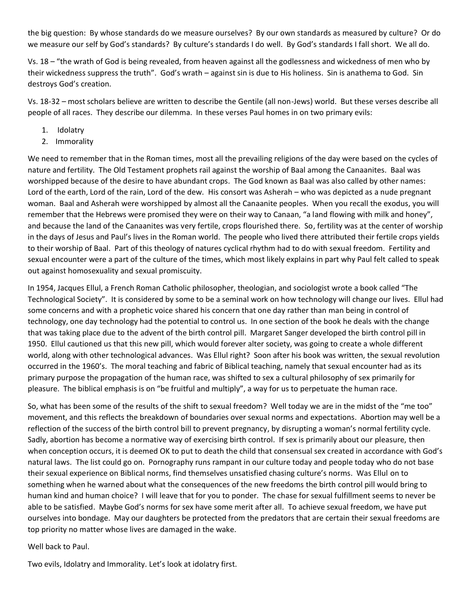the big question: By whose standards do we measure ourselves? By our own standards as measured by culture? Or do we measure our self by God's standards? By culture's standards I do well. By God's standards I fall short. We all do.

Vs. 18 – "the wrath of God is being revealed, from heaven against all the godlessness and wickedness of men who by their wickedness suppress the truth". God's wrath – against sin is due to His holiness. Sin is anathema to God. Sin destroys God's creation.

Vs. 18-32 – most scholars believe are written to describe the Gentile (all non-Jews) world. But these verses describe all people of all races. They describe our dilemma. In these verses Paul homes in on two primary evils:

- 1. Idolatry
- 2. Immorality

We need to remember that in the Roman times, most all the prevailing religions of the day were based on the cycles of nature and fertility. The Old Testament prophets rail against the worship of Baal among the Canaanites. Baal was worshipped because of the desire to have abundant crops. The God known as Baal was also called by other names: Lord of the earth, Lord of the rain, Lord of the dew. His consort was Asherah – who was depicted as a nude pregnant woman. Baal and Asherah were worshipped by almost all the Canaanite peoples. When you recall the exodus, you will remember that the Hebrews were promised they were on their way to Canaan, "a land flowing with milk and honey", and because the land of the Canaanites was very fertile, crops flourished there. So, fertility was at the center of worship in the days of Jesus and Paul's lives in the Roman world. The people who lived there attributed their fertile crops yields to their worship of Baal. Part of this theology of natures cyclical rhythm had to do with sexual freedom. Fertility and sexual encounter were a part of the culture of the times, which most likely explains in part why Paul felt called to speak out against homosexuality and sexual promiscuity.

In 1954, Jacques Ellul, a French Roman Catholic philosopher, theologian, and sociologist wrote a book called "The Technological Society". It is considered by some to be a seminal work on how technology will change our lives. Ellul had some concerns and with a prophetic voice shared his concern that one day rather than man being in control of technology, one day technology had the potential to control us. In one section of the book he deals with the change that was taking place due to the advent of the birth control pill. Margaret Sanger developed the birth control pill in 1950. Ellul cautioned us that this new pill, which would forever alter society, was going to create a whole different world, along with other technological advances. Was Ellul right? Soon after his book was written, the sexual revolution occurred in the 1960's. The moral teaching and fabric of Biblical teaching, namely that sexual encounter had as its primary purpose the propagation of the human race, was shifted to sex a cultural philosophy of sex primarily for pleasure. The biblical emphasis is on "be fruitful and multiply", a way for us to perpetuate the human race.

So, what has been some of the results of the shift to sexual freedom? Well today we are in the midst of the "me too" movement, and this reflects the breakdown of boundaries over sexual norms and expectations. Abortion may well be a reflection of the success of the birth control bill to prevent pregnancy, by disrupting a woman's normal fertility cycle. Sadly, abortion has become a normative way of exercising birth control. If sex is primarily about our pleasure, then when conception occurs, it is deemed OK to put to death the child that consensual sex created in accordance with God's natural laws. The list could go on. Pornography runs rampant in our culture today and people today who do not base their sexual experience on Biblical norms, find themselves unsatisfied chasing culture's norms. Was Ellul on to something when he warned about what the consequences of the new freedoms the birth control pill would bring to human kind and human choice? I will leave that for you to ponder. The chase for sexual fulfillment seems to never be able to be satisfied. Maybe God's norms for sex have some merit after all. To achieve sexual freedom, we have put ourselves into bondage. May our daughters be protected from the predators that are certain their sexual freedoms are top priority no matter whose lives are damaged in the wake.

## Well back to Paul.

Two evils, Idolatry and Immorality. Let's look at idolatry first.